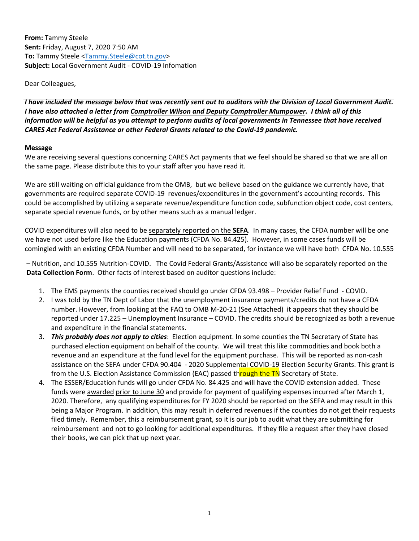**From:** Tammy Steele **Sent:** Friday, August 7, 2020 7:50 AM **To:** Tammy Steele <Tammy.Steele@cot.tn.gov> **Subject:** Local Government Audit ‐ COVID‐19 Infomation

Dear Colleagues,

I have included the message below that was recently sent out to auditors with the Division of Local Government Audit. I have also attached a letter from Comptroller Wilson and Deputy Comptroller Mumpower. I think all of this information will be helpful as you attempt to perform audits of local governments in Tennessee that have received *CARES Act Federal Assistance or other Federal Grants related to the Covid‐19 pandemic.*

#### **Message**

We are receiving several questions concerning CARES Act payments that we feel should be shared so that we are all on the same page. Please distribute this to your staff after you have read it.

We are still waiting on official guidance from the OMB, but we believe based on the guidance we currently have, that governments are required separate COVID‐19 revenues/expenditures in the government's accounting records. This could be accomplished by utilizing a separate revenue/expenditure function code, subfunction object code, cost centers, separate special revenue funds, or by other means such as a manual ledger.

COVID expenditures will also need to be separately reported on the **SEFA**. In many cases, the CFDA number will be one we have not used before like the Education payments (CFDA No. 84.425). However, in some cases funds will be comingled with an existing CFDA Number and will need to be separated, for instance we will have both CFDA No. 10.555

– Nutrition, and 10.555 Nutrition‐COVID. The Covid Federal Grants/Assistance will also be separately reported on the **Data Collection Form**. Other facts of interest based on auditor questions include:

- 1. The EMS payments the counties received should go under CFDA 93.498 Provider Relief Fund ‐ COVID.
- 2. I was told by the TN Dept of Labor that the unemployment insurance payments/credits do not have a CFDA number. However, from looking at the FAQ to OMB M-20-21 (See Attached) it appears that they should be reported under 17.225 – Unemployment Insurance – COVID. The credits should be recognized as both a revenue and expenditure in the financial statements.
- 3. *This probably does not apply to cities*: Election equipment. In some counties the TN Secretary of State has purchased election equipment on behalf of the county. We will treat this like commodities and book both a revenue and an expenditure at the fund level for the equipment purchase. This will be reported as non‐cash assistance on the SEFA under CFDA 90.404 - 2020 Supplemental COVID-19 Election Security Grants. This grant is from the U.S. Election Assistance Commission (EAC) passed through the TN Secretary of State.
- 4. The ESSER/Education funds will go under CFDA No. 84.425 and will have the COVID extension added. These funds were awarded prior to June 30 and provide for payment of qualifying expenses incurred after March 1, 2020. Therefore, any qualifying expenditures for FY 2020 should be reported on the SEFA and may result in this being a Major Program. In addition, this may result in deferred revenues if the counties do not get their requests filed timely. Remember, this a reimbursement grant, so it is our job to audit what they are submitting for reimbursement and not to go looking for additional expenditures. If they file a request after they have closed their books, we can pick that up next year.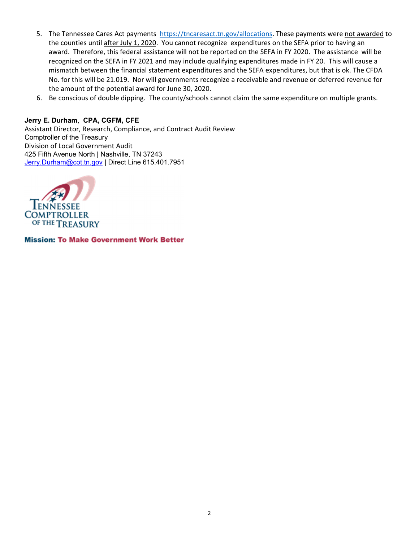- 5. The Tennessee Cares Act payments https://tncaresact.tn.gov/allocations. These payments were not awarded to the counties until after July 1, 2020. You cannot recognize expenditures on the SEFA prior to having an award. Therefore, this federal assistance will not be reported on the SEFA in FY 2020. The assistance will be recognized on the SEFA in FY 2021 and may include qualifying expenditures made in FY 20. This will cause a mismatch between the financial statement expenditures and the SEFA expenditures, but that is ok. The CFDA No. for this will be 21.019. Nor will governments recognize a receivable and revenue or deferred revenue for the amount of the potential award for June 30, 2020.
- 6. Be conscious of double dipping. The county/schools cannot claim the same expenditure on multiple grants.

#### **Jerry E. Durham**, **CPA, CGFM, CFE**

Assistant Director, Research, Compliance, and Contract Audit Review Comptroller of the Treasury Division of Local Government Audit 425 Fifth Avenue North | Nashville, TN 37243 Jerry.Durham@cot.tn.gov | Direct Line 615.401.7951



**Mission: To Make Government Work Better**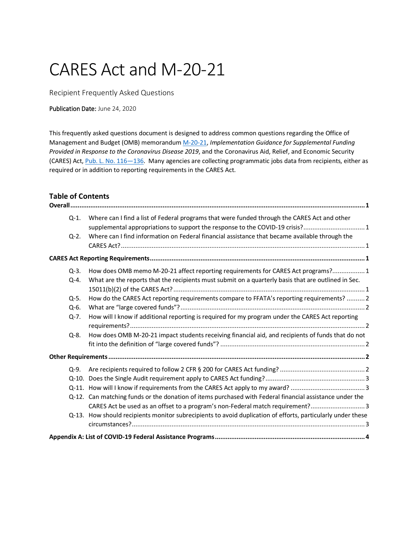# CARES Act and M-20-21

Recipient Frequently Asked Questions

#### Publication Date: June 24, 2020

This frequently asked questions document is designed to address common questions regarding the Office of Management and Budget (OMB) memorandu[m M-20-21,](https://www.whitehouse.gov/wp-content/uploads/2020/04/Implementation-Guidance-for-Supplemental-Funding-Provided-in-Response.pdf) *Implementation Guidance for Supplemental Funding Provided in Response to the Coronavirus Disease 2019*, and the Coronavirus Aid, Relief, and Economic Security (CARES) Act, Pub. L. No. 116-136. Many agencies are collecting programmatic jobs data from recipients, either as required or in addition to reporting requirements in the CARES Act.

# <span id="page-2-0"></span>**Table of Contents**

| $Q-1$ .   | Where can I find a list of Federal programs that were funded through the CARES Act and other                |
|-----------|-------------------------------------------------------------------------------------------------------------|
|           | supplemental appropriations to support the response to the COVID-19 crisis? 1                               |
| $Q - 2$ . | Where can I find information on Federal financial assistance that became available through the              |
|           |                                                                                                             |
|           |                                                                                                             |
| $Q - 3.$  | How does OMB memo M-20-21 affect reporting requirements for CARES Act programs?1                            |
| Q-4.      | What are the reports that the recipients must submit on a quarterly basis that are outlined in Sec.         |
|           |                                                                                                             |
| $Q-5.$    | How do the CARES Act reporting requirements compare to FFATA's reporting requirements?  2                   |
| $Q-6$ .   |                                                                                                             |
| $Q - 7.$  | How will I know if additional reporting is required for my program under the CARES Act reporting            |
|           |                                                                                                             |
| Q-8.      | How does OMB M-20-21 impact students receiving financial aid, and recipients of funds that do not           |
|           |                                                                                                             |
|           |                                                                                                             |
| $Q - 9.$  |                                                                                                             |
|           |                                                                                                             |
|           |                                                                                                             |
|           | Q-12. Can matching funds or the donation of items purchased with Federal financial assistance under the     |
|           | CARES Act be used as an offset to a program's non-Federal match requirement? 3                              |
|           | Q-13. How should recipients monitor subrecipients to avoid duplication of efforts, particularly under these |
|           |                                                                                                             |
|           |                                                                                                             |
|           |                                                                                                             |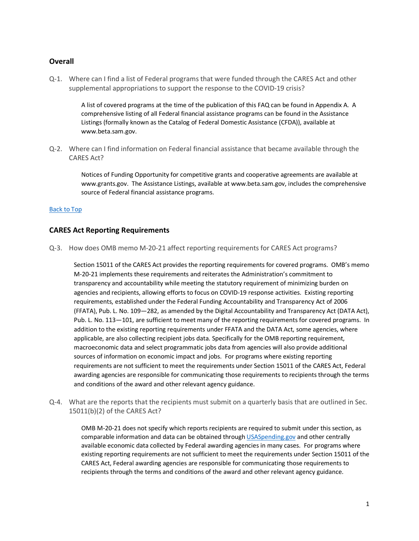#### <span id="page-3-1"></span><span id="page-3-0"></span>**Overall**

Q-1. Where can I find a list of Federal programs that were funded through the CARES Act and other supplemental appropriations to support the response to the COVID-19 crisis?

> A list of covered programs at the time of the publication of this FAQ can be found i[n Appendix A.](#page-6-0) A comprehensive listing of all Federal financial assistance programs can be found in the Assistance Listings (formally known as the Catalog of Federal Domestic Assistance (CFDA)), available at [www.beta.sam.gov.](http://www.beta.sam.gov/)

<span id="page-3-2"></span>Q-2. Where can I find information on Federal financial assistance that became available through the CARES Act?

> Notices of Funding Opportunity for competitive grants and cooperative agreements are available at [www.grants.gov.](http://www.grants.gov/) The Assistance Listings, available a[t www.beta.sam.gov,](http://www.beta.sam.gov/) includes the comprehensive source of Federal financial assistance programs.

#### [Back to Top](#page-2-0)

#### <span id="page-3-4"></span><span id="page-3-3"></span>**CARES Act Reporting Requirements**

Q-3. How does OMB memo M-20-21 affect reporting requirements for CARES Act programs?

Section 15011 of the CARES Act provides the reporting requirements for covered programs. OMB's memo M-20-21 implements these requirements and reiterates the Administration's commitment to transparency and accountability while meeting the statutory requirement of minimizing burden on agencies and recipients, allowing efforts to focus on COVID-19 response activities. Existing reporting requirements, established under the Federal Funding Accountability and Transparency Act of 2006 (FFATA), Pub. L. No. 109—282, as amended by the Digital Accountability and Transparency Act (DATA Act), Pub. L. No. 113—101, are sufficient to meet many of the reporting requirements for covered programs. In addition to the existing reporting requirements under FFATA and the DATA Act, some agencies, where applicable, are also collecting recipient jobs data. Specifically for the OMB reporting requirement, macroeconomic data and select programmatic jobs data from agencies will also provide additional sources of information on economic impact and jobs. For programs where existing reporting requirements are not sufficient to meet the requirements under Section 15011 of the CARES Act, Federal awarding agencies are responsible for communicating those requirements to recipients through the terms and conditions of the award and other relevant agency guidance.

<span id="page-3-5"></span>Q-4. What are the reports that the recipients must submit on a quarterly basis that are outlined in Sec. 15011(b)(2) of the CARES Act?

> OMB M-20-21 does not specify which reports recipients are required to submit under this section, as comparable information and data can be obtained throug[h USASpending.gov](https://www.usaspending.gov/) and other centrally available economic data collected by Federal awarding agencies in many cases. For programs where existing reporting requirements are not sufficient to meet the requirements under Section 15011 of the CARES Act, Federal awarding agencies are responsible for communicating those requirements to recipients through the terms and conditions of the award and other relevant agency guidance.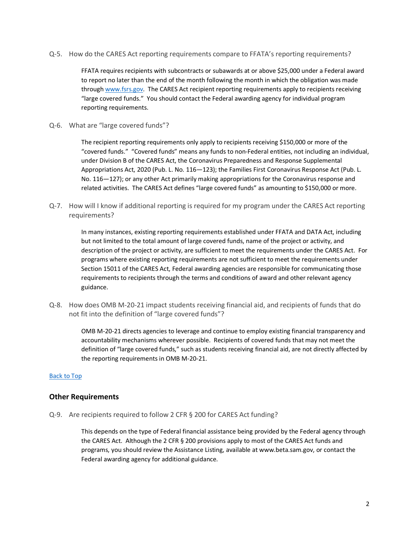<span id="page-4-0"></span>Q-5. How do the CARES Act reporting requirements compare to FFATA's reporting requirements?

FFATA requires recipients with subcontracts or subawards at or above \$25,000 under a Federal award to report no later than the end of the month following the month in which the obligation was made throug[h www.fsrs.gov.](http://www.fsrs.gov/) The CARES Act recipient reporting requirements apply to recipients receiving "large covered funds." You should contact the Federal awarding agency for individual program reporting requirements.

<span id="page-4-1"></span>Q-6. What are "large covered funds"?

The recipient reporting requirements only apply to recipients receiving \$150,000 or more of the "covered funds." "Covered funds" means any funds to non-Federal entities, not including an individual, under Division B of the CARES Act, the Coronavirus Preparedness and Response Supplemental Appropriations Act, 2020 (Pub. L. No. 116—123); the Families First Coronavirus Response Act (Pub. L. No. 116—127); or any other Act primarily making appropriations for the Coronavirus response and related activities. The CARES Act defines "large covered funds" as amounting to \$150,000 or more.

<span id="page-4-2"></span>Q-7. How will I know if additional reporting is required for my program under the CARES Act reporting requirements?

> In many instances, existing reporting requirements established under FFATA and DATA Act, including but not limited to the total amount of large covered funds, name of the project or activity, and description of the project or activity, are sufficient to meet the requirements under the CARES Act. For programs where existing reporting requirements are not sufficient to meet the requirements under Section 15011 of the CARES Act, Federal awarding agencies are responsible for communicating those requirements to recipients through the terms and conditions of award and other relevant agency guidance.

<span id="page-4-3"></span>Q-8. How does OMB M-20-21 impact students receiving financial aid, and recipients of funds that do not fit into the definition of "large covered funds"?

> OMB M-20-21 directs agencies to leverage and continue to employ existing financial transparency and accountability mechanisms wherever possible. Recipients of covered funds that may not meet the definition of "large covered funds," such as students receiving financial aid, are not directly affected by the reporting requirements in OMB M-20-21.

#### [Back to Top](#page-2-0)

#### <span id="page-4-5"></span><span id="page-4-4"></span>**Other Requirements**

Q-9. Are recipients required to follow 2 CFR § 200 for CARES Act funding?

This depends on the type of Federal financial assistance being provided by the Federal agency through the CARES Act. Although the 2 CFR § 200 provisions apply to most of the CARES Act funds and programs, you should review the Assistance Listing, available at [www.beta.sam.gov,](http://www.beta.sam.gov/) or contact the Federal awarding agency for additional guidance.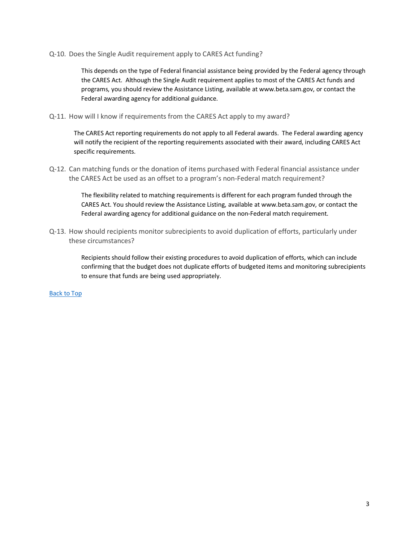<span id="page-5-0"></span>Q-10. Does the Single Audit requirement apply to CARES Act funding?

This depends on the type of Federal financial assistance being provided by the Federal agency through the CARES Act. Although the Single Audit requirement applies to most of the CARES Act funds and programs, you should review the Assistance Listing, available at [www.beta.sam.gov,](http://www.beta.sam.gov/) or contact the Federal awarding agency for additional guidance.

<span id="page-5-1"></span>Q-11. How will I know if requirements from the CARES Act apply to my award?

The CARES Act reporting requirements do not apply to all Federal awards. The Federal awarding agency will notify the recipient of the reporting requirements associated with their award, including CARES Act specific requirements.

<span id="page-5-2"></span>Q-12. Can matching funds or the donation of items purchased with Federal financial assistance under the CARES Act be used as an offset to a program's non-Federal match requirement?

> The flexibility related to matching requirements is different for each program funded through the CARES Act. You should review the Assistance Listing, available at [www.beta.sam.gov,](http://www.beta.sam.gov/) or contact the Federal awarding agency for additional guidance on the non-Federal match requirement.

<span id="page-5-3"></span>Q-13. How should recipients monitor subrecipients to avoid duplication of efforts, particularly under these circumstances?

> Recipients should follow their existing procedures to avoid duplication of efforts, which can include confirming that the budget does not duplicate efforts of budgeted items and monitoring subrecipients to ensure that funds are being used appropriately.

[Back to Top](#page-2-0)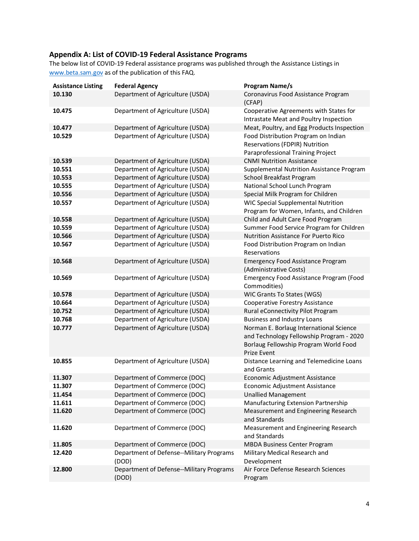### <span id="page-6-0"></span>**Appendix A: List of COVID-19 Federal Assistance Programs**

The below list of COVID-19 Federal assistance programs was published through the Assistance Listings in [www.beta.sam.gov](http://www.beta.sam.gov/) as of the publication of this FAQ.

| <b>Assistance Listing</b> | <b>Federal Agency</b>                             | <b>Program Name/s</b>                                   |
|---------------------------|---------------------------------------------------|---------------------------------------------------------|
| 10.130                    | Department of Agriculture (USDA)                  | Coronavirus Food Assistance Program                     |
|                           |                                                   | (CFAP)                                                  |
| 10.475                    | Department of Agriculture (USDA)                  | Cooperative Agreements with States for                  |
|                           |                                                   | Intrastate Meat and Poultry Inspection                  |
| 10.477                    | Department of Agriculture (USDA)                  | Meat, Poultry, and Egg Products Inspection              |
| 10.529                    | Department of Agriculture (USDA)                  | Food Distribution Program on Indian                     |
|                           |                                                   | Reservations (FDPIR) Nutrition                          |
|                           |                                                   | Paraprofessional Training Project                       |
| 10.539                    | Department of Agriculture (USDA)                  | <b>CNMI Nutrition Assistance</b>                        |
| 10.551                    | Department of Agriculture (USDA)                  | Supplemental Nutrition Assistance Program               |
| 10.553                    | Department of Agriculture (USDA)                  | School Breakfast Program                                |
| 10.555                    | Department of Agriculture (USDA)                  | National School Lunch Program                           |
| 10.556                    | Department of Agriculture (USDA)                  | Special Milk Program for Children                       |
| 10.557                    | Department of Agriculture (USDA)                  | <b>WIC Special Supplemental Nutrition</b>               |
|                           |                                                   | Program for Women, Infants, and Children                |
| 10.558                    | Department of Agriculture (USDA)                  | Child and Adult Care Food Program                       |
| 10.559                    | Department of Agriculture (USDA)                  | Summer Food Service Program for Children                |
| 10.566                    | Department of Agriculture (USDA)                  | Nutrition Assistance For Puerto Rico                    |
| 10.567                    | Department of Agriculture (USDA)                  | Food Distribution Program on Indian<br>Reservations     |
| 10.568                    | Department of Agriculture (USDA)                  | <b>Emergency Food Assistance Program</b>                |
|                           |                                                   | (Administrative Costs)                                  |
| 10.569                    | Department of Agriculture (USDA)                  | Emergency Food Assistance Program (Food<br>Commodities) |
| 10.578                    | Department of Agriculture (USDA)                  | WIC Grants To States (WGS)                              |
| 10.664                    | Department of Agriculture (USDA)                  | Cooperative Forestry Assistance                         |
| 10.752                    | Department of Agriculture (USDA)                  | Rural eConnectivity Pilot Program                       |
| 10.768                    | Department of Agriculture (USDA)                  | <b>Business and Industry Loans</b>                      |
| 10.777                    | Department of Agriculture (USDA)                  | Norman E. Borlaug International Science                 |
|                           |                                                   | and Technology Fellowship Program - 2020                |
|                           |                                                   | Borlaug Fellowship Program World Food                   |
|                           |                                                   | Prize Event                                             |
| 10.855                    | Department of Agriculture (USDA)                  | Distance Learning and Telemedicine Loans<br>and Grants  |
| 11.307                    | Department of Commerce (DOC)                      | Economic Adjustment Assistance                          |
| 11.307                    | Department of Commerce (DOC)                      | Economic Adjustment Assistance                          |
| 11.454                    | Department of Commerce (DOC)                      | <b>Unallied Management</b>                              |
| 11.611                    | Department of Commerce (DOC)                      | Manufacturing Extension Partnership                     |
| 11.620                    | Department of Commerce (DOC)                      | Measurement and Engineering Research<br>and Standards   |
| 11.620                    | Department of Commerce (DOC)                      | Measurement and Engineering Research<br>and Standards   |
| 11.805                    | Department of Commerce (DOC)                      | <b>MBDA Business Center Program</b>                     |
| 12.420                    | Department of Defense--Military Programs          | Military Medical Research and                           |
|                           | (DOD)                                             | Development                                             |
| 12.800                    | Department of Defense--Military Programs<br>(DOD) | Air Force Defense Research Sciences<br>Program          |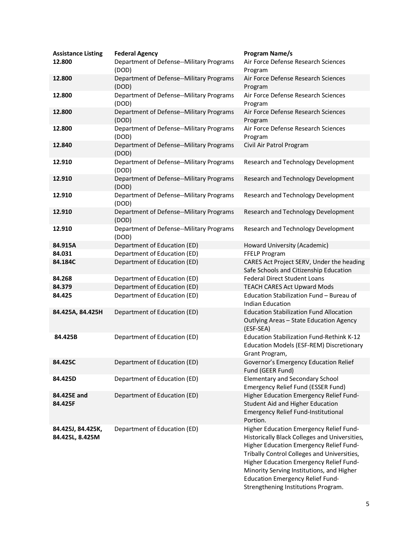| <b>Assistance Listing</b><br>12.800  | <b>Federal Agency</b><br>Department of Defense--Military Programs<br>(DOD) | <b>Program Name/s</b><br>Air Force Defense Research Sciences<br>Program                                                                                                                                                                                                                                                                                      |
|--------------------------------------|----------------------------------------------------------------------------|--------------------------------------------------------------------------------------------------------------------------------------------------------------------------------------------------------------------------------------------------------------------------------------------------------------------------------------------------------------|
| 12.800                               | Department of Defense--Military Programs<br>(DOD)                          | Air Force Defense Research Sciences<br>Program                                                                                                                                                                                                                                                                                                               |
| 12.800                               | Department of Defense--Military Programs<br>(DOD)                          | Air Force Defense Research Sciences<br>Program                                                                                                                                                                                                                                                                                                               |
| 12.800                               | Department of Defense--Military Programs<br>(DOD)                          | Air Force Defense Research Sciences<br>Program                                                                                                                                                                                                                                                                                                               |
| 12.800                               | Department of Defense--Military Programs<br>(DOD)                          | Air Force Defense Research Sciences<br>Program                                                                                                                                                                                                                                                                                                               |
| 12.840                               | Department of Defense--Military Programs<br>(DOD)                          | Civil Air Patrol Program                                                                                                                                                                                                                                                                                                                                     |
| 12.910                               | Department of Defense--Military Programs<br>(DOD)                          | Research and Technology Development                                                                                                                                                                                                                                                                                                                          |
| 12.910                               | Department of Defense--Military Programs<br>(DOD)                          | Research and Technology Development                                                                                                                                                                                                                                                                                                                          |
| 12.910                               | Department of Defense--Military Programs<br>(DOD)                          | Research and Technology Development                                                                                                                                                                                                                                                                                                                          |
| 12.910                               | Department of Defense--Military Programs<br>(DOD)                          | Research and Technology Development                                                                                                                                                                                                                                                                                                                          |
| 12.910                               | Department of Defense--Military Programs<br>(DOD)                          | Research and Technology Development                                                                                                                                                                                                                                                                                                                          |
| 84.915A                              | Department of Education (ED)                                               | Howard University (Academic)                                                                                                                                                                                                                                                                                                                                 |
| 84.031                               | Department of Education (ED)                                               | FFELP Program                                                                                                                                                                                                                                                                                                                                                |
| 84.184C                              | Department of Education (ED)                                               | CARES Act Project SERV, Under the heading<br>Safe Schools and Citizenship Education                                                                                                                                                                                                                                                                          |
| 84.268                               | Department of Education (ED)                                               | <b>Federal Direct Student Loans</b>                                                                                                                                                                                                                                                                                                                          |
| 84.379                               | Department of Education (ED)                                               | <b>TEACH CARES Act Upward Mods</b>                                                                                                                                                                                                                                                                                                                           |
| 84.425                               | Department of Education (ED)                                               | Education Stabilization Fund - Bureau of<br><b>Indian Education</b>                                                                                                                                                                                                                                                                                          |
| 84.425A, 84.425H                     | Department of Education (ED)                                               | <b>Education Stabilization Fund Allocation</b><br>Outlying Areas - State Education Agency<br>(ESF-SEA)                                                                                                                                                                                                                                                       |
| 84.425B                              | Department of Education (ED)                                               | Education Stabilization Fund-Rethink K-12<br>Education Models (ESF-REM) Discretionary<br>Grant Program,                                                                                                                                                                                                                                                      |
| 84.425C                              | Department of Education (ED)                                               | Governor's Emergency Education Relief<br>Fund (GEER Fund)                                                                                                                                                                                                                                                                                                    |
| 84.425D                              | Department of Education (ED)                                               | <b>Elementary and Secondary School</b><br>Emergency Relief Fund (ESSER Fund)                                                                                                                                                                                                                                                                                 |
| 84.425E and<br>84.425F               | Department of Education (ED)                                               | Higher Education Emergency Relief Fund-<br>Student Aid and Higher Education<br><b>Emergency Relief Fund-Institutional</b><br>Portion.                                                                                                                                                                                                                        |
| 84.425J, 84.425K,<br>84.425L, 8.425M | Department of Education (ED)                                               | Higher Education Emergency Relief Fund-<br>Historically Black Colleges and Universities,<br>Higher Education Emergency Relief Fund-<br>Tribally Control Colleges and Universities,<br>Higher Education Emergency Relief Fund-<br>Minority Serving Institutions, and Higher<br><b>Education Emergency Relief Fund-</b><br>Strengthening Institutions Program. |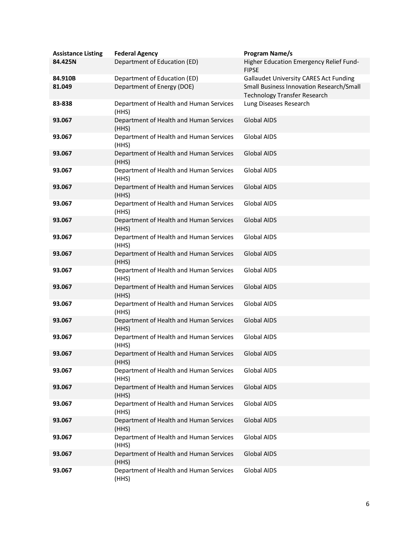| <b>Assistance Listing</b> | <b>Federal Agency</b>                            | Program Name/s                                                                  |
|---------------------------|--------------------------------------------------|---------------------------------------------------------------------------------|
| 84.425N                   | Department of Education (ED)                     | Higher Education Emergency Relief Fund-<br><b>FIPSE</b>                         |
| 84.910B                   | Department of Education (ED)                     | <b>Gallaudet University CARES Act Funding</b>                                   |
| 81.049                    | Department of Energy (DOE)                       | Small Business Innovation Research/Small<br><b>Technology Transfer Research</b> |
| 83-838                    | Department of Health and Human Services<br>(HHS) | Lung Diseases Research                                                          |
| 93.067                    | Department of Health and Human Services<br>(HHS) | <b>Global AIDS</b>                                                              |
| 93.067                    | Department of Health and Human Services<br>(HHS) | Global AIDS                                                                     |
| 93.067                    | Department of Health and Human Services<br>(HHS) | <b>Global AIDS</b>                                                              |
| 93.067                    | Department of Health and Human Services<br>(HHS) | <b>Global AIDS</b>                                                              |
| 93.067                    | Department of Health and Human Services<br>(HHS) | <b>Global AIDS</b>                                                              |
| 93.067                    | Department of Health and Human Services<br>(HHS) | Global AIDS                                                                     |
| 93.067                    | Department of Health and Human Services<br>(HHS) | <b>Global AIDS</b>                                                              |
| 93.067                    | Department of Health and Human Services<br>(HHS) | <b>Global AIDS</b>                                                              |
| 93.067                    | Department of Health and Human Services<br>(HHS) | <b>Global AIDS</b>                                                              |
| 93.067                    | Department of Health and Human Services<br>(HHS) | Global AIDS                                                                     |
| 93.067                    | Department of Health and Human Services<br>(HHS) | <b>Global AIDS</b>                                                              |
| 93.067                    | Department of Health and Human Services<br>(HHS) | Global AIDS                                                                     |
| 93.067                    | Department of Health and Human Services<br>(HHS) | <b>Global AIDS</b>                                                              |
| 93.067                    | Department of Health and Human Services<br>(HHS) | Global AIDS                                                                     |
| 93.067                    | Department of Health and Human Services<br>(HHS) | Global AIDS                                                                     |
| 93.067                    | Department of Health and Human Services<br>(HHS) | <b>Global AIDS</b>                                                              |
| 93.067                    | Department of Health and Human Services<br>(HHS) | <b>Global AIDS</b>                                                              |
| 93.067                    | Department of Health and Human Services<br>(HHS) | <b>Global AIDS</b>                                                              |
| 93.067                    | Department of Health and Human Services<br>(HHS) | <b>Global AIDS</b>                                                              |
| 93.067                    | Department of Health and Human Services<br>(HHS) | <b>Global AIDS</b>                                                              |
| 93.067                    | Department of Health and Human Services<br>(HHS) | <b>Global AIDS</b>                                                              |
| 93.067                    | Department of Health and Human Services<br>(HHS) | <b>Global AIDS</b>                                                              |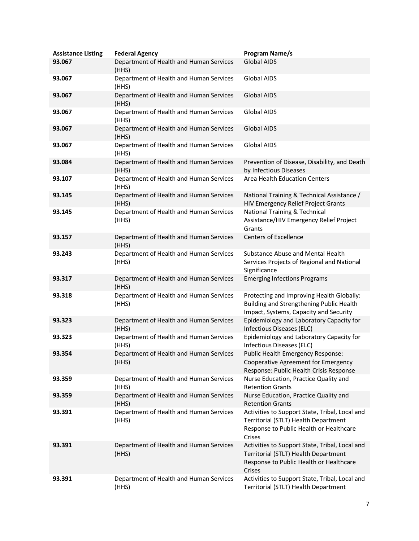| <b>Assistance Listing</b><br>93.067 | <b>Federal Agency</b><br>Department of Health and Human Services<br>(HHS) | <b>Program Name/s</b><br><b>Global AIDS</b>                                                                                                 |
|-------------------------------------|---------------------------------------------------------------------------|---------------------------------------------------------------------------------------------------------------------------------------------|
| 93.067                              | Department of Health and Human Services<br>(HHS)                          | Global AIDS                                                                                                                                 |
| 93.067                              | Department of Health and Human Services<br>(HHS)                          | <b>Global AIDS</b>                                                                                                                          |
| 93.067                              | Department of Health and Human Services<br>(HHS)                          | Global AIDS                                                                                                                                 |
| 93.067                              | Department of Health and Human Services<br>(HHS)                          | <b>Global AIDS</b>                                                                                                                          |
| 93.067                              | Department of Health and Human Services<br>(HHS)                          | Global AIDS                                                                                                                                 |
| 93.084                              | Department of Health and Human Services<br>(HHS)                          | Prevention of Disease, Disability, and Death<br>by Infectious Diseases                                                                      |
| 93.107                              | Department of Health and Human Services<br>(HHS)                          | Area Health Education Centers                                                                                                               |
| 93.145                              | Department of Health and Human Services<br>(HHS)                          | National Training & Technical Assistance /<br>HIV Emergency Relief Project Grants                                                           |
| 93.145                              | Department of Health and Human Services<br>(HHS)                          | <b>National Training &amp; Technical</b><br>Assistance/HIV Emergency Relief Project<br>Grants                                               |
| 93.157                              | Department of Health and Human Services<br>(HHS)                          | <b>Centers of Excellence</b>                                                                                                                |
| 93.243                              | Department of Health and Human Services<br>(HHS)                          | Substance Abuse and Mental Health<br>Services Projects of Regional and National<br>Significance                                             |
| 93.317                              | Department of Health and Human Services<br>(HHS)                          | <b>Emerging Infections Programs</b>                                                                                                         |
| 93.318                              | Department of Health and Human Services<br>(HHS)                          | Protecting and Improving Health Globally:<br>Building and Strengthening Public Health<br>Impact, Systems, Capacity and Security             |
| 93.323                              | Department of Health and Human Services<br>(HHS)                          | Epidemiology and Laboratory Capacity for<br>Infectious Diseases (ELC)                                                                       |
| 93.323                              | Department of Health and Human Services<br>(HHS)                          | Epidemiology and Laboratory Capacity for<br>Infectious Diseases (ELC)                                                                       |
| 93.354                              | Department of Health and Human Services<br>(HHS)                          | Public Health Emergency Response:<br>Cooperative Agreement for Emergency<br>Response: Public Health Crisis Response                         |
| 93.359                              | Department of Health and Human Services<br>(HHS)                          | Nurse Education, Practice Quality and<br><b>Retention Grants</b>                                                                            |
| 93.359                              | Department of Health and Human Services<br>(HHS)                          | Nurse Education, Practice Quality and<br><b>Retention Grants</b>                                                                            |
| 93.391                              | Department of Health and Human Services<br>(HHS)                          | Activities to Support State, Tribal, Local and<br>Territorial (STLT) Health Department<br>Response to Public Health or Healthcare<br>Crises |
| 93.391                              | Department of Health and Human Services<br>(HHS)                          | Activities to Support State, Tribal, Local and<br>Territorial (STLT) Health Department<br>Response to Public Health or Healthcare<br>Crises |
| 93.391                              | Department of Health and Human Services<br>(HHS)                          | Activities to Support State, Tribal, Local and<br>Territorial (STLT) Health Department                                                      |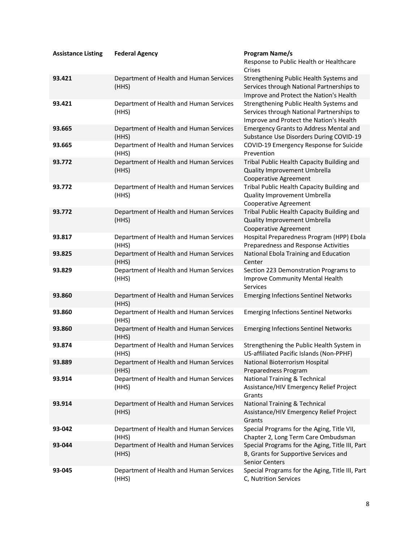| <b>Assistance Listing</b> | <b>Federal Agency</b>                            | <b>Program Name/s</b><br>Response to Public Health or Healthcare<br>Crises                                                      |
|---------------------------|--------------------------------------------------|---------------------------------------------------------------------------------------------------------------------------------|
| 93.421                    | Department of Health and Human Services<br>(HHS) | Strengthening Public Health Systems and<br>Services through National Partnerships to<br>Improve and Protect the Nation's Health |
| 93.421                    | Department of Health and Human Services<br>(HHS) | Strengthening Public Health Systems and<br>Services through National Partnerships to<br>Improve and Protect the Nation's Health |
| 93.665                    | Department of Health and Human Services<br>(HHS) | <b>Emergency Grants to Address Mental and</b><br>Substance Use Disorders During COVID-19                                        |
| 93.665                    | Department of Health and Human Services<br>(HHS) | COVID-19 Emergency Response for Suicide<br>Prevention                                                                           |
| 93.772                    | Department of Health and Human Services<br>(HHS) | Tribal Public Health Capacity Building and<br>Quality Improvement Umbrella<br>Cooperative Agreement                             |
| 93.772                    | Department of Health and Human Services<br>(HHS) | Tribal Public Health Capacity Building and<br>Quality Improvement Umbrella<br>Cooperative Agreement                             |
| 93.772                    | Department of Health and Human Services<br>(HHS) | Tribal Public Health Capacity Building and<br>Quality Improvement Umbrella<br>Cooperative Agreement                             |
| 93.817                    | Department of Health and Human Services<br>(HHS) | Hospital Preparedness Program (HPP) Ebola<br>Preparedness and Response Activities                                               |
| 93.825                    | Department of Health and Human Services<br>(HHS) | National Ebola Training and Education<br>Center                                                                                 |
| 93.829                    | Department of Health and Human Services<br>(HHS) | Section 223 Demonstration Programs to<br>Improve Community Mental Health<br>Services                                            |
| 93.860                    | Department of Health and Human Services<br>(HHS) | <b>Emerging Infections Sentinel Networks</b>                                                                                    |
| 93.860                    | Department of Health and Human Services<br>(HHS) | <b>Emerging Infections Sentinel Networks</b>                                                                                    |
| 93.860                    | Department of Health and Human Services<br>(HHS) | <b>Emerging Infections Sentinel Networks</b>                                                                                    |
| 93.874                    | Department of Health and Human Services<br>(HHS) | Strengthening the Public Health System in<br>US-affiliated Pacific Islands (Non-PPHF)                                           |
| 93.889                    | Department of Health and Human Services<br>(HHS) | National Bioterrorism Hospital<br>Preparedness Program                                                                          |
| 93.914                    | Department of Health and Human Services<br>(HHS) | <b>National Training &amp; Technical</b><br>Assistance/HIV Emergency Relief Project<br>Grants                                   |
| 93.914                    | Department of Health and Human Services<br>(HHS) | National Training & Technical<br>Assistance/HIV Emergency Relief Project<br>Grants                                              |
| 93-042                    | Department of Health and Human Services<br>(HHS) | Special Programs for the Aging, Title VII,<br>Chapter 2, Long Term Care Ombudsman                                               |
| 93-044                    | Department of Health and Human Services<br>(HHS) | Special Programs for the Aging, Title III, Part<br>B, Grants for Supportive Services and<br><b>Senior Centers</b>               |
| 93-045                    | Department of Health and Human Services<br>(HHS) | Special Programs for the Aging, Title III, Part<br>C, Nutrition Services                                                        |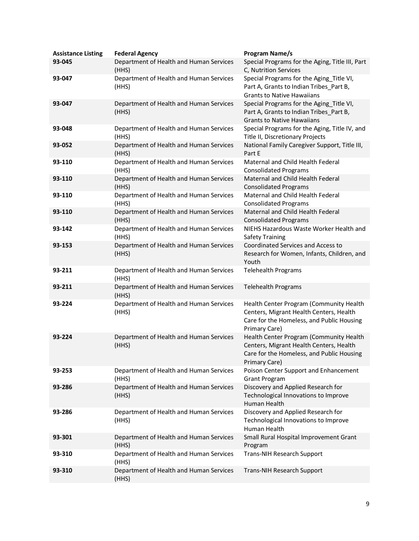| <b>Assistance Listing</b><br>93-045 | <b>Federal Agency</b><br>Department of Health and Human Services<br>(HHS) | <b>Program Name/s</b><br>Special Programs for the Aging, Title III, Part<br>C, Nutrition Services                                                |
|-------------------------------------|---------------------------------------------------------------------------|--------------------------------------------------------------------------------------------------------------------------------------------------|
| 93-047                              | Department of Health and Human Services<br>(HHS)                          | Special Programs for the Aging_Title VI,<br>Part A, Grants to Indian Tribes Part B,<br><b>Grants to Native Hawaiians</b>                         |
| 93-047                              | Department of Health and Human Services<br>(HHS)                          | Special Programs for the Aging_Title VI,<br>Part A, Grants to Indian Tribes_Part B,<br><b>Grants to Native Hawaiians</b>                         |
| 93-048                              | Department of Health and Human Services<br>(HHS)                          | Special Programs for the Aging, Title IV, and<br>Title II, Discretionary Projects                                                                |
| 93-052                              | Department of Health and Human Services<br>(HHS)                          | National Family Caregiver Support, Title III,<br>Part E                                                                                          |
| 93-110                              | Department of Health and Human Services<br>(HHS)                          | Maternal and Child Health Federal<br><b>Consolidated Programs</b>                                                                                |
| 93-110                              | Department of Health and Human Services<br>(HHS)                          | Maternal and Child Health Federal<br><b>Consolidated Programs</b>                                                                                |
| 93-110                              | Department of Health and Human Services<br>(HHS)                          | Maternal and Child Health Federal<br><b>Consolidated Programs</b>                                                                                |
| 93-110                              | Department of Health and Human Services<br>(HHS)                          | Maternal and Child Health Federal<br><b>Consolidated Programs</b>                                                                                |
| 93-142                              | Department of Health and Human Services<br>(HHS)                          | NIEHS Hazardous Waste Worker Health and<br><b>Safety Training</b>                                                                                |
| 93-153                              | Department of Health and Human Services<br>(HHS)                          | Coordinated Services and Access to<br>Research for Women, Infants, Children, and<br>Youth                                                        |
| 93-211                              | Department of Health and Human Services<br>(HHS)                          | <b>Telehealth Programs</b>                                                                                                                       |
| 93-211                              | Department of Health and Human Services<br>(HHS)                          | <b>Telehealth Programs</b>                                                                                                                       |
| 93-224                              | Department of Health and Human Services<br>(HHS)                          | Health Center Program (Community Health<br>Centers, Migrant Health Centers, Health<br>Care for the Homeless, and Public Housing<br>Primary Care) |
| 93-224                              | Department of Health and Human Services<br>(HHS)                          | Health Center Program (Community Health<br>Centers, Migrant Health Centers, Health<br>Care for the Homeless, and Public Housing<br>Primary Care) |
| 93-253                              | Department of Health and Human Services<br>(HHS)                          | Poison Center Support and Enhancement<br><b>Grant Program</b>                                                                                    |
| 93-286                              | Department of Health and Human Services<br>(HHS)                          | Discovery and Applied Research for<br>Technological Innovations to Improve<br>Human Health                                                       |
| 93-286                              | Department of Health and Human Services<br>(HHS)                          | Discovery and Applied Research for<br>Technological Innovations to Improve<br>Human Health                                                       |
| 93-301                              | Department of Health and Human Services<br>(HHS)                          | Small Rural Hospital Improvement Grant<br>Program                                                                                                |
| 93-310                              | Department of Health and Human Services<br>(HHS)                          | <b>Trans-NIH Research Support</b>                                                                                                                |
| 93-310                              | Department of Health and Human Services<br>(HHS)                          | <b>Trans-NIH Research Support</b>                                                                                                                |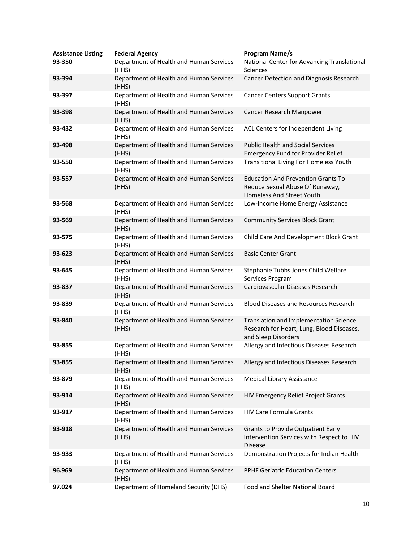| <b>Assistance Listing</b><br>93-350 | <b>Federal Agency</b><br>Department of Health and Human Services<br>(HHS) | <b>Program Name/s</b><br>National Center for Advancing Translational<br>Sciences                                 |
|-------------------------------------|---------------------------------------------------------------------------|------------------------------------------------------------------------------------------------------------------|
| 93-394                              | Department of Health and Human Services<br>(HHS)                          | Cancer Detection and Diagnosis Research                                                                          |
| 93-397                              | Department of Health and Human Services<br>(HHS)                          | <b>Cancer Centers Support Grants</b>                                                                             |
| 93-398                              | Department of Health and Human Services<br>(HHS)                          | Cancer Research Manpower                                                                                         |
| 93-432                              | Department of Health and Human Services<br>(HHS)                          | ACL Centers for Independent Living                                                                               |
| 93-498                              | Department of Health and Human Services<br>(HHS)                          | <b>Public Health and Social Services</b><br><b>Emergency Fund for Provider Relief</b>                            |
| 93-550                              | Department of Health and Human Services<br>(HHS)                          | <b>Transitional Living For Homeless Youth</b>                                                                    |
| 93-557                              | Department of Health and Human Services<br>(HHS)                          | <b>Education And Prevention Grants To</b><br>Reduce Sexual Abuse Of Runaway,<br><b>Homeless And Street Youth</b> |
| 93-568                              | Department of Health and Human Services<br>(HHS)                          | Low-Income Home Energy Assistance                                                                                |
| 93-569                              | Department of Health and Human Services<br>(HHS)                          | <b>Community Services Block Grant</b>                                                                            |
| 93-575                              | Department of Health and Human Services<br>(HHS)                          | Child Care And Development Block Grant                                                                           |
| 93-623                              | Department of Health and Human Services<br>(HHS)                          | <b>Basic Center Grant</b>                                                                                        |
| 93-645                              | Department of Health and Human Services<br>(HHS)                          | Stephanie Tubbs Jones Child Welfare<br>Services Program                                                          |
| 93-837                              | Department of Health and Human Services<br>(HHS)                          | Cardiovascular Diseases Research                                                                                 |
| 93-839                              | Department of Health and Human Services<br>(HHS)                          | <b>Blood Diseases and Resources Research</b>                                                                     |
| 93-840                              | Department of Health and Human Services<br>(HHS)                          | Translation and Implementation Science<br>Research for Heart, Lung, Blood Diseases,<br>and Sleep Disorders       |
| 93-855                              | Department of Health and Human Services<br>(HHS)                          | Allergy and Infectious Diseases Research                                                                         |
| 93-855                              | Department of Health and Human Services<br>(HHS)                          | Allergy and Infectious Diseases Research                                                                         |
| 93-879                              | Department of Health and Human Services<br>(HHS)                          | <b>Medical Library Assistance</b>                                                                                |
| 93-914                              | Department of Health and Human Services<br>(HHS)                          | HIV Emergency Relief Project Grants                                                                              |
| 93-917                              | Department of Health and Human Services<br>(HHS)                          | <b>HIV Care Formula Grants</b>                                                                                   |
| 93-918                              | Department of Health and Human Services<br>(HHS)                          | <b>Grants to Provide Outpatient Early</b><br>Intervention Services with Respect to HIV<br><b>Disease</b>         |
| 93-933                              | Department of Health and Human Services<br>(HHS)                          | Demonstration Projects for Indian Health                                                                         |
| 96.969                              | Department of Health and Human Services<br>(HHS)                          | <b>PPHF Geriatric Education Centers</b>                                                                          |
| 97.024                              | Department of Homeland Security (DHS)                                     | Food and Shelter National Board                                                                                  |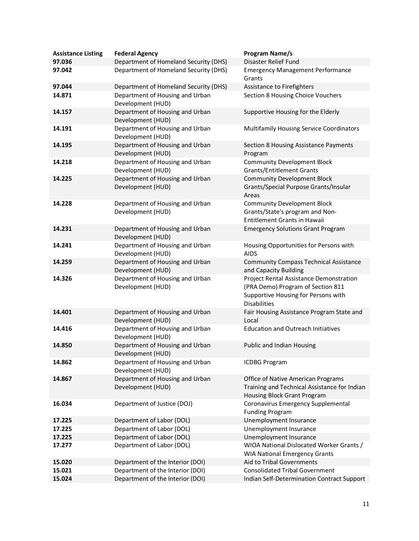| <b>Assistance Listing</b> | <b>Federal Agency</b>                                                          | <b>Program Name/s</b><br>Disaster Relief Fund                                                                                              |
|---------------------------|--------------------------------------------------------------------------------|--------------------------------------------------------------------------------------------------------------------------------------------|
| 97.036<br>97.042          | Department of Homeland Security (DHS)<br>Department of Homeland Security (DHS) | <b>Emergency Management Performance</b>                                                                                                    |
|                           |                                                                                | Grants                                                                                                                                     |
| 97.044                    | Department of Homeland Security (DHS)                                          | Assistance to Firefighters                                                                                                                 |
| 14.871                    | Department of Housing and Urban<br>Development (HUD)                           | Section 8 Housing Choice Vouchers                                                                                                          |
| 14.157                    | Department of Housing and Urban<br>Development (HUD)                           | Supportive Housing for the Elderly                                                                                                         |
| 14.191                    | Department of Housing and Urban<br>Development (HUD)                           | Multifamily Housing Service Coordinators                                                                                                   |
| 14.195                    | Department of Housing and Urban<br>Development (HUD)                           | Section 8 Housing Assistance Payments<br>Program                                                                                           |
| 14.218                    | Department of Housing and Urban<br>Development (HUD)                           | <b>Community Development Block</b><br><b>Grants/Entitlement Grants</b>                                                                     |
| 14.225                    | Department of Housing and Urban<br>Development (HUD)                           | <b>Community Development Block</b><br>Grants/Special Purpose Grants/Insular<br>Areas                                                       |
| 14.228                    | Department of Housing and Urban<br>Development (HUD)                           | <b>Community Development Block</b><br>Grants/State's program and Non-<br><b>Entitlement Grants in Hawaii</b>                               |
| 14.231                    | Department of Housing and Urban<br>Development (HUD)                           | <b>Emergency Solutions Grant Program</b>                                                                                                   |
| 14.241                    | Department of Housing and Urban<br>Development (HUD)                           | Housing Opportunities for Persons with<br><b>AIDS</b>                                                                                      |
| 14.259                    | Department of Housing and Urban<br>Development (HUD)                           | <b>Community Compass Technical Assistance</b><br>and Capacity Building                                                                     |
| 14.326                    | Department of Housing and Urban<br>Development (HUD)                           | Project Rental Assistance Demonstration<br>(PRA Demo) Program of Section 811<br>Supportive Housing for Persons with<br><b>Disabilities</b> |
| 14.401                    | Department of Housing and Urban<br>Development (HUD)                           | Fair Housing Assistance Program State and<br>Local                                                                                         |
| 14.416                    | Department of Housing and Urban<br>Development (HUD)                           | <b>Education and Outreach Initiatives</b>                                                                                                  |
| 14.850                    | Department of Housing and Urban<br>Development (HUD)                           | <b>Public and Indian Housing</b>                                                                                                           |
| 14.862                    | Department of Housing and Urban<br>Development (HUD)                           | <b>ICDBG Program</b>                                                                                                                       |
| 14.867                    | Department of Housing and Urban<br>Development (HUD)                           | Office of Native American Programs<br>Training and Technical Assistance for Indian<br>Housing Block Grant Program                          |
| 16.034                    | Department of Justice (DOJ)                                                    | Coronavirus Emergency Supplemental<br><b>Funding Program</b>                                                                               |
| 17.225                    | Department of Labor (DOL)                                                      | Unemployment Insurance                                                                                                                     |
| 17.225                    | Department of Labor (DOL)                                                      | Unemployment Insurance                                                                                                                     |
| 17.225                    | Department of Labor (DOL)                                                      | Unemployment Insurance                                                                                                                     |
| 17.277                    | Department of Labor (DOL)                                                      | WIOA National Dislocated Worker Grants /<br><b>WIA National Emergency Grants</b>                                                           |
| 15.020                    | Department of the Interior (DOI)                                               | Aid to Tribal Governments                                                                                                                  |
| 15.021                    | Department of the Interior (DOI)                                               | <b>Consolidated Tribal Government</b>                                                                                                      |
| 15.024                    | Department of the Interior (DOI)                                               | Indian Self-Determination Contract Support                                                                                                 |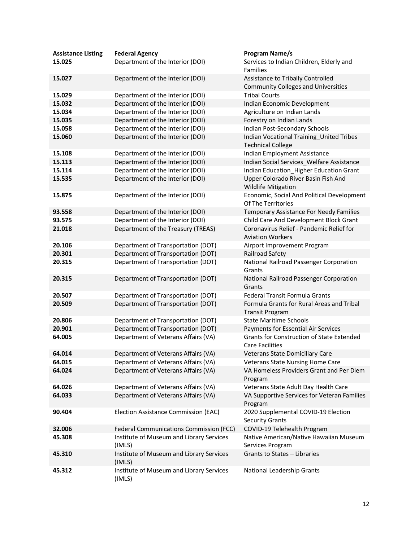| <b>Assistance Listing</b><br>15.025 | <b>Federal Agency</b><br>Department of the Interior (DOI) | <b>Program Name/s</b><br>Services to Indian Children, Elderly and<br><b>Families</b> |
|-------------------------------------|-----------------------------------------------------------|--------------------------------------------------------------------------------------|
| 15.027                              | Department of the Interior (DOI)                          | Assistance to Tribally Controlled<br><b>Community Colleges and Universities</b>      |
| 15.029                              | Department of the Interior (DOI)                          | <b>Tribal Courts</b>                                                                 |
| 15.032                              | Department of the Interior (DOI)                          | Indian Economic Development                                                          |
| 15.034                              | Department of the Interior (DOI)                          | Agriculture on Indian Lands                                                          |
| 15.035                              | Department of the Interior (DOI)                          | Forestry on Indian Lands                                                             |
| 15.058                              | Department of the Interior (DOI)                          | Indian Post-Secondary Schools                                                        |
| 15.060                              | Department of the Interior (DOI)                          | Indian Vocational Training_United Tribes<br><b>Technical College</b>                 |
| 15.108                              | Department of the Interior (DOI)                          | Indian Employment Assistance                                                         |
| 15.113                              | Department of the Interior (DOI)                          | Indian Social Services_Welfare Assistance                                            |
| 15.114                              | Department of the Interior (DOI)                          | Indian Education_Higher Education Grant                                              |
| 15.535                              | Department of the Interior (DOI)                          | Upper Colorado River Basin Fish And<br><b>Wildlife Mitigation</b>                    |
| 15.875                              | Department of the Interior (DOI)                          | Economic, Social And Political Development<br>Of The Territories                     |
| 93.558                              | Department of the Interior (DOI)                          | Temporary Assistance For Needy Families                                              |
| 93.575                              | Department of the Interior (DOI)                          | Child Care And Development Block Grant                                               |
| 21.018                              | Department of the Treasury (TREAS)                        | Coronavirus Relief - Pandemic Relief for<br><b>Aviation Workers</b>                  |
| 20.106                              | Department of Transportation (DOT)                        | Airport Improvement Program                                                          |
| 20.301                              | Department of Transportation (DOT)                        | Railroad Safety                                                                      |
| 20.315                              | Department of Transportation (DOT)                        | National Railroad Passenger Corporation<br>Grants                                    |
| 20.315                              | Department of Transportation (DOT)                        | National Railroad Passenger Corporation<br>Grants                                    |
| 20.507                              | Department of Transportation (DOT)                        | Federal Transit Formula Grants                                                       |
| 20.509                              | Department of Transportation (DOT)                        | Formula Grants for Rural Areas and Tribal<br><b>Transit Program</b>                  |
| 20.806                              | Department of Transportation (DOT)                        | <b>State Maritime Schools</b>                                                        |
| 20.901                              | Department of Transportation (DOT)                        | Payments for Essential Air Services                                                  |
| 64.005                              | Department of Veterans Affairs (VA)                       | <b>Grants for Construction of State Extended</b><br><b>Care Facilities</b>           |
| 64.014                              | Department of Veterans Affairs (VA)                       | Veterans State Domiciliary Care                                                      |
| 64.015                              | Department of Veterans Affairs (VA)                       | Veterans State Nursing Home Care                                                     |
| 64.024                              | Department of Veterans Affairs (VA)                       | VA Homeless Providers Grant and Per Diem<br>Program                                  |
| 64.026                              | Department of Veterans Affairs (VA)                       | Veterans State Adult Day Health Care                                                 |
| 64.033                              | Department of Veterans Affairs (VA)                       | VA Supportive Services for Veteran Families<br>Program                               |
| 90.404                              | Election Assistance Commission (EAC)                      | 2020 Supplemental COVID-19 Election<br><b>Security Grants</b>                        |
| 32.006                              | Federal Communications Commission (FCC)                   | COVID-19 Telehealth Program                                                          |
| 45.308                              | Institute of Museum and Library Services<br>(IMLS)        | Native American/Native Hawaiian Museum<br>Services Program                           |
| 45.310                              | Institute of Museum and Library Services<br>(IMLS)        | Grants to States - Libraries                                                         |
| 45.312                              | Institute of Museum and Library Services<br>(IMLS)        | National Leadership Grants                                                           |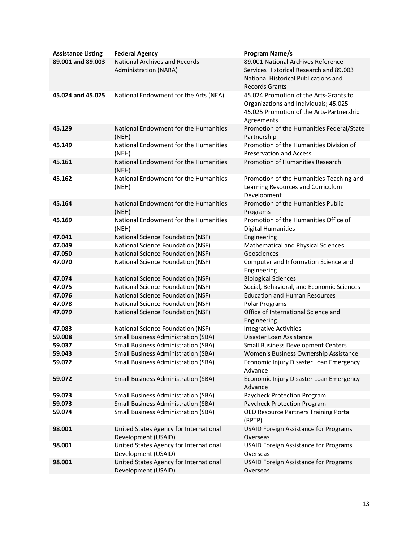| <b>Assistance Listing</b> | <b>Federal Agency</b>                                                  | <b>Program Name/s</b>                                                   |
|---------------------------|------------------------------------------------------------------------|-------------------------------------------------------------------------|
| 89.001 and 89.003         | <b>National Archives and Records</b>                                   | 89.001 National Archives Reference                                      |
|                           | Administration (NARA)                                                  | Services Historical Research and 89,003                                 |
|                           |                                                                        | National Historical Publications and                                    |
|                           |                                                                        | <b>Records Grants</b>                                                   |
| 45.024 and 45.025         | National Endowment for the Arts (NEA)                                  | 45.024 Promotion of the Arts-Grants to                                  |
|                           |                                                                        | Organizations and Individuals; 45.025                                   |
|                           |                                                                        | 45.025 Promotion of the Arts-Partnership                                |
|                           |                                                                        | Agreements                                                              |
| 45.129                    | National Endowment for the Humanities                                  | Promotion of the Humanities Federal/State                               |
| 45.149                    | (NEH)<br>National Endowment for the Humanities                         | Partnership<br>Promotion of the Humanities Division of                  |
|                           | (NEH)                                                                  | <b>Preservation and Access</b>                                          |
| 45.161                    | National Endowment for the Humanities                                  | Promotion of Humanities Research                                        |
|                           | (NEH)                                                                  |                                                                         |
| 45.162                    | National Endowment for the Humanities                                  | Promotion of the Humanities Teaching and                                |
|                           | (NEH)                                                                  | Learning Resources and Curriculum                                       |
|                           |                                                                        | Development                                                             |
| 45.164                    | National Endowment for the Humanities                                  | Promotion of the Humanities Public                                      |
|                           | (NEH)                                                                  | Programs                                                                |
| 45.169                    | National Endowment for the Humanities                                  | Promotion of the Humanities Office of                                   |
|                           | (NEH)                                                                  | <b>Digital Humanities</b>                                               |
| 47.041                    | National Science Foundation (NSF)                                      | Engineering                                                             |
| 47.049                    | National Science Foundation (NSF)                                      | Mathematical and Physical Sciences                                      |
| 47.050                    | National Science Foundation (NSF)                                      | Geosciences                                                             |
| 47.070                    | National Science Foundation (NSF)                                      | Computer and Information Science and                                    |
|                           |                                                                        | Engineering                                                             |
| 47.074<br>47.075          | National Science Foundation (NSF)<br>National Science Foundation (NSF) | <b>Biological Sciences</b><br>Social, Behavioral, and Economic Sciences |
| 47.076                    | National Science Foundation (NSF)                                      | <b>Education and Human Resources</b>                                    |
| 47.078                    | National Science Foundation (NSF)                                      | Polar Programs                                                          |
| 47.079                    | National Science Foundation (NSF)                                      | Office of International Science and                                     |
|                           |                                                                        | Engineering                                                             |
| 47.083                    | National Science Foundation (NSF)                                      | <b>Integrative Activities</b>                                           |
| 59.008                    | <b>Small Business Administration (SBA)</b>                             | Disaster Loan Assistance                                                |
| 59.037                    | <b>Small Business Administration (SBA)</b>                             | <b>Small Business Development Centers</b>                               |
| 59.043                    | Small Business Administration (SBA)                                    | Women's Business Ownership Assistance                                   |
| 59.072                    | <b>Small Business Administration (SBA)</b>                             | Economic Injury Disaster Loan Emergency                                 |
|                           |                                                                        | Advance                                                                 |
| 59.072                    | <b>Small Business Administration (SBA)</b>                             | Economic Injury Disaster Loan Emergency                                 |
|                           |                                                                        | Advance                                                                 |
| 59.073                    | <b>Small Business Administration (SBA)</b>                             | Paycheck Protection Program                                             |
| 59.073                    | <b>Small Business Administration (SBA)</b>                             | Paycheck Protection Program                                             |
| 59.074                    | <b>Small Business Administration (SBA)</b>                             | OED Resource Partners Training Portal<br>(RPTP)                         |
| 98.001                    | United States Agency for International                                 | <b>USAID Foreign Assistance for Programs</b>                            |
|                           | Development (USAID)                                                    | Overseas                                                                |
| 98.001                    | United States Agency for International                                 | <b>USAID Foreign Assistance for Programs</b>                            |
|                           | Development (USAID)                                                    | Overseas                                                                |
| 98.001                    | United States Agency for International                                 | <b>USAID Foreign Assistance for Programs</b>                            |
|                           | Development (USAID)                                                    | Overseas                                                                |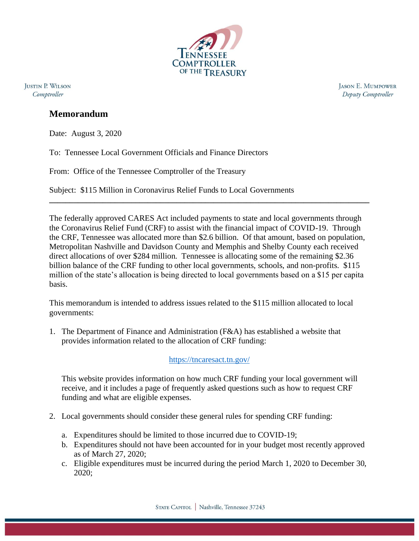

**IUSTIN P. WILSON** Comptroller

**JASON E. MUMPOWER** Deputy Comptroller

## **Memorandum**

Date: August 3, 2020

To: Tennessee Local Government Officials and Finance Directors

From: Office of the Tennessee Comptroller of the Treasury

Subject: \$115 Million in Coronavirus Relief Funds to Local Governments

The federally approved CARES Act included payments to state and local governments through the Coronavirus Relief Fund (CRF) to assist with the financial impact of COVID-19. Through the CRF, Tennessee was allocated more than \$2.6 billion. Of that amount, based on population, Metropolitan Nashville and Davidson County and Memphis and Shelby County each received direct allocations of over \$284 million. Tennessee is allocating some of the remaining \$2.36 billion balance of the CRF funding to other local governments, schools, and non-profits. \$115 million of the state's allocation is being directed to local governments based on a \$15 per capita basis.

**\_\_\_\_\_\_\_\_\_\_\_\_\_\_\_\_\_\_\_\_\_\_\_\_\_\_\_\_\_\_\_\_\_\_\_\_\_\_\_\_\_\_\_\_\_\_\_\_\_\_\_\_\_\_\_\_\_\_\_\_\_\_\_\_\_\_\_\_\_\_\_\_\_\_\_\_\_\_**

This memorandum is intended to address issues related to the \$115 million allocated to local governments:

1. The Department of Finance and Administration (F&A) has established a website that provides information related to the allocation of CRF funding:

<https://tncaresact.tn.gov/>

This website provides information on how much CRF funding your local government will receive, and it includes a page of frequently asked questions such as how to request CRF funding and what are eligible expenses.

- 2. Local governments should consider these general rules for spending CRF funding:
	- a. Expenditures should be limited to those incurred due to COVID-19;
	- b. Expenditures should not have been accounted for in your budget most recently approved as of March 27, 2020;
	- c. Eligible expenditures must be incurred during the period March 1, 2020 to December 30, 2020;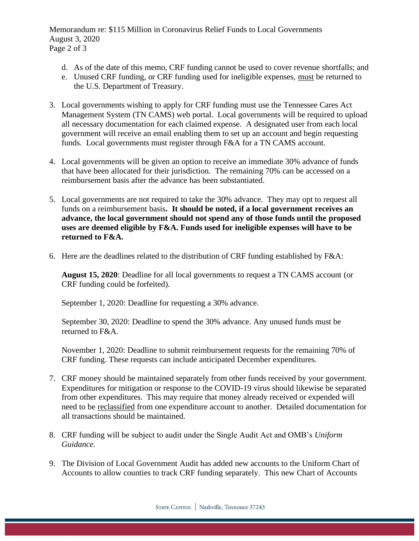Memorandum re: \$115 Million in Coronavirus Relief Funds to Local Governments August 3, 2020 Page 2 of 3

- d. As of the date of this memo, CRF funding cannot be used to cover revenue shortfalls; and
- e. Unused CRF funding, or CRF funding used for ineligible expenses, must be returned to the U.S. Department of Treasury.
- 3. Local governments wishing to apply for CRF funding must use the Tennessee Cares Act Management System (TN CAMS) web portal. Local governments will be required to upload all necessary documentation for each claimed expense. A designated user from each local government will receive an email enabling them to set up an account and begin requesting funds. Local governments must register through F&A for a TN CAMS account.
- 4. Local governments will be given an option to receive an immediate 30% advance of funds that have been allocated for their jurisdiction. The remaining 70% can be accessed on a reimbursement basis after the advance has been substantiated.
- 5. Local governments are not required to take the 30% advance. They may opt to request all funds on a reimbursement basis**. It should be noted, if a local government receives an advance, the local government should not spend any of those funds until the proposed uses are deemed eligible by F&A. Funds used for ineligible expenses will have to be returned to F&A.**
- 6. Here are the deadlines related to the distribution of CRF funding established by F&A:

**August 15, 2020**: Deadline for all local governments to request a TN CAMS account (or CRF funding could be forfeited).

September 1, 2020: Deadline for requesting a 30% advance.

September 30, 2020: Deadline to spend the 30% advance. Any unused funds must be returned to F&A.

November 1, 2020: Deadline to submit reimbursement requests for the remaining 70% of CRF funding. These requests can include anticipated December expenditures.

- 7. CRF money should be maintained separately from other funds received by your government. Expenditures for mitigation or response to the COVID-19 virus should likewise be separated from other expenditures. This may require that money already received or expended will need to be reclassified from one expenditure account to another. Detailed documentation for all transactions should be maintained.
- 8. CRF funding will be subject to audit under the Single Audit Act and OMB's *Uniform Guidance.*
- 9. The Division of Local Government Audit has added new accounts to the Uniform Chart of Accounts to allow counties to track CRF funding separately. This new Chart of Accounts